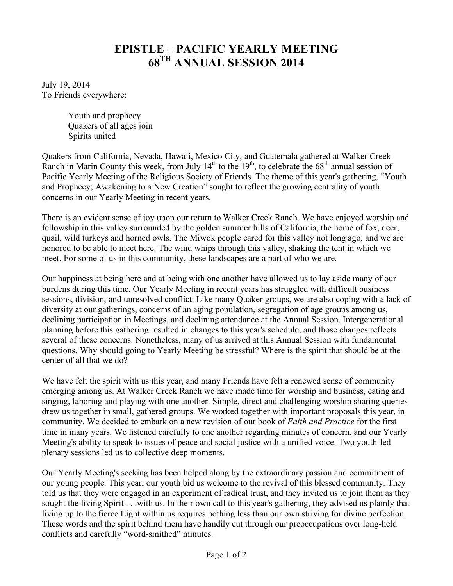## **EPISTLE – PACIFIC YEARLY MEETING 68TH ANNUAL SESSION 2014**

July 19, 2014 To Friends everywhere:

> Youth and prophecy Quakers of all ages join Spirits united

Quakers from California, Nevada, Hawaii, Mexico City, and Guatemala gathered at Walker Creek Ranch in Marin County this week, from July  $14<sup>th</sup>$  to the  $19<sup>th</sup>$ , to celebrate the  $68<sup>th</sup>$  annual session of Pacific Yearly Meeting of the Religious Society of Friends. The theme of this year's gathering, "Youth and Prophecy; Awakening to a New Creation" sought to reflect the growing centrality of youth concerns in our Yearly Meeting in recent years.

There is an evident sense of joy upon our return to Walker Creek Ranch. We have enjoyed worship and fellowship in this valley surrounded by the golden summer hills of California, the home of fox, deer, quail, wild turkeys and horned owls. The Miwok people cared for this valley not long ago, and we are honored to be able to meet here. The wind whips through this valley, shaking the tent in which we meet. For some of us in this community, these landscapes are a part of who we are.

Our happiness at being here and at being with one another have allowed us to lay aside many of our burdens during this time. Our Yearly Meeting in recent years has struggled with difficult business sessions, division, and unresolved conflict. Like many Quaker groups, we are also coping with a lack of diversity at our gatherings, concerns of an aging population, segregation of age groups among us, declining participation in Meetings, and declining attendance at the Annual Session. Intergenerational planning before this gathering resulted in changes to this year's schedule, and those changes reflects several of these concerns. Nonetheless, many of us arrived at this Annual Session with fundamental questions. Why should going to Yearly Meeting be stressful? Where is the spirit that should be at the center of all that we do?

We have felt the spirit with us this year, and many Friends have felt a renewed sense of community emerging among us. At Walker Creek Ranch we have made time for worship and business, eating and singing, laboring and playing with one another. Simple, direct and challenging worship sharing queries drew us together in small, gathered groups. We worked together with important proposals this year, in community. We decided to embark on a new revision of our book of *Faith and Practice* for the first time in many years. We listened carefully to one another regarding minutes of concern, and our Yearly Meeting's ability to speak to issues of peace and social justice with a unified voice. Two youth-led plenary sessions led us to collective deep moments.

Our Yearly Meeting's seeking has been helped along by the extraordinary passion and commitment of our young people. This year, our youth bid us welcome to the revival of this blessed community. They told us that they were engaged in an experiment of radical trust, and they invited us to join them as they sought the living Spirit . . .with us. In their own call to this year's gathering, they advised us plainly that living up to the fierce Light within us requires nothing less than our own striving for divine perfection. These words and the spirit behind them have handily cut through our preoccupations over long-held conflicts and carefully "word-smithed" minutes.